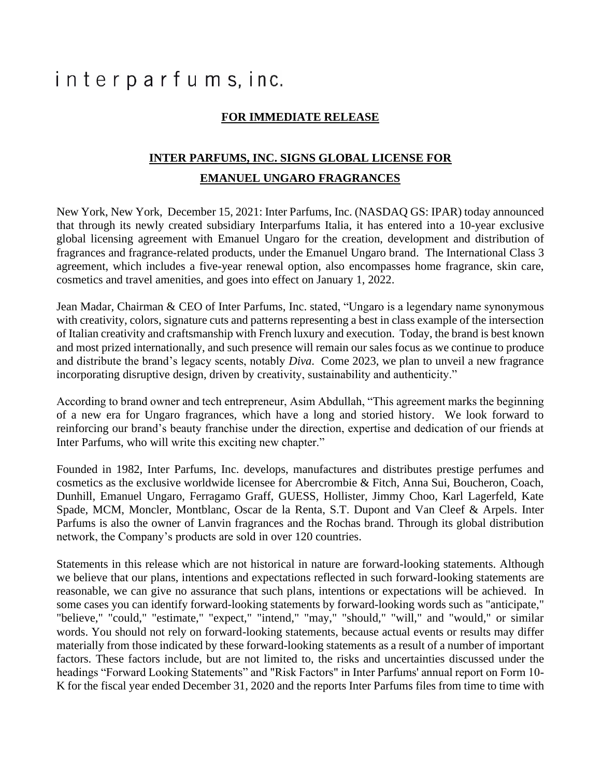## interparfums, inc.

## **FOR IMMEDIATE RELEASE**

## **INTER PARFUMS, INC. SIGNS GLOBAL LICENSE FOR EMANUEL UNGARO FRAGRANCES**

New York, New York, December 15, 2021: Inter Parfums, Inc. (NASDAQ GS: IPAR) today announced that through its newly created subsidiary Interparfums Italia, it has entered into a 10-year exclusive global licensing agreement with Emanuel Ungaro for the creation, development and distribution of fragrances and fragrance-related products, under the Emanuel Ungaro brand. The International Class 3 agreement, which includes a five-year renewal option, also encompasses home fragrance, skin care, cosmetics and travel amenities, and goes into effect on January 1, 2022.

Jean Madar, Chairman & CEO of Inter Parfums, Inc. stated, "Ungaro is a legendary name synonymous with creativity, colors, signature cuts and patterns representing a best in class example of the intersection of Italian creativity and craftsmanship with French luxury and execution. Today, the brand is best known and most prized internationally, and such presence will remain our sales focus as we continue to produce and distribute the brand's legacy scents, notably *Diva*. Come 2023, we plan to unveil a new fragrance incorporating disruptive design, driven by creativity, sustainability and authenticity."

According to brand owner and tech entrepreneur, Asim Abdullah, "This agreement marks the beginning of a new era for Ungaro fragrances, which have a long and storied history. We look forward to reinforcing our brand's beauty franchise under the direction, expertise and dedication of our friends at Inter Parfums, who will write this exciting new chapter."

Founded in 1982, Inter Parfums, Inc. develops, manufactures and distributes prestige perfumes and cosmetics as the exclusive worldwide licensee for Abercrombie & Fitch, Anna Sui, Boucheron, Coach, Dunhill, Emanuel Ungaro, Ferragamo Graff, GUESS, Hollister, Jimmy Choo, Karl Lagerfeld, Kate Spade, MCM, Moncler, Montblanc, Oscar de la Renta, S.T. Dupont and Van Cleef & Arpels. Inter Parfums is also the owner of Lanvin fragrances and the Rochas brand. Through its global distribution network, the Company's products are sold in over 120 countries.

Statements in this release which are not historical in nature are forward-looking statements. Although we believe that our plans, intentions and expectations reflected in such forward-looking statements are reasonable, we can give no assurance that such plans, intentions or expectations will be achieved. In some cases you can identify forward-looking statements by forward-looking words such as "anticipate," "believe," "could," "estimate," "expect," "intend," "may," "should," "will," and "would," or similar words. You should not rely on forward-looking statements, because actual events or results may differ materially from those indicated by these forward-looking statements as a result of a number of important factors. These factors include, but are not limited to, the risks and uncertainties discussed under the headings "Forward Looking Statements" and "Risk Factors" in Inter Parfums' annual report on Form 10- K for the fiscal year ended December 31, 2020 and the reports Inter Parfums files from time to time with